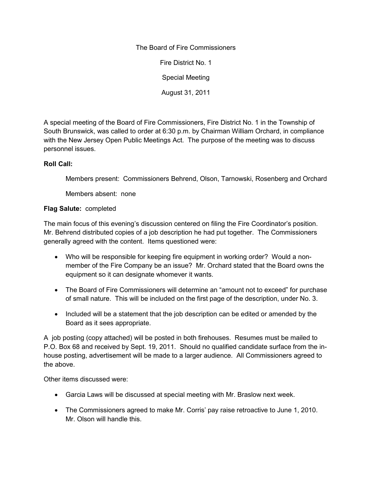## The Board of Fire Commissioners

Fire District No. 1

Special Meeting

August 31, 2011

A special meeting of the Board of Fire Commissioners, Fire District No. 1 in the Township of South Brunswick, was called to order at 6:30 p.m. by Chairman William Orchard, in compliance with the New Jersey Open Public Meetings Act. The purpose of the meeting was to discuss personnel issues.

## **Roll Call:**

Members present: Commissioners Behrend, Olson, Tarnowski, Rosenberg and Orchard

Members absent: none

## **Flag Salute:** completed

The main focus of this evening's discussion centered on filing the Fire Coordinator's position. Mr. Behrend distributed copies of a job description he had put together. The Commissioners generally agreed with the content. Items questioned were:

- Who will be responsible for keeping fire equipment in working order? Would a non member of the Fire Company be an issue? Mr. Orchard stated that the Board owns the equipment so it can designate whomever it wants.
- The Board of Fire Commissioners will determine an "amount not to exceed" for purchase of small nature. This will be included on the first page of the description, under No. 3.
- Included will be a statement that the job description can be edited or amended by the Board as it sees appropriate.

A job posting (copy attached) will be posted in both firehouses. Resumes must be mailed to P.O. Box 68 and received by Sept. 19, 2011. Should no qualified candidate surface from the in house posting, advertisement will be made to a larger audience. All Commissioners agreed to the above.

Other items discussed were:

- Garcia Laws will be discussed at special meeting with Mr. Braslow next week.
- The Commissioners agreed to make Mr. Corris' pay raise retroactive to June 1, 2010. Mr. Olson will handle this.